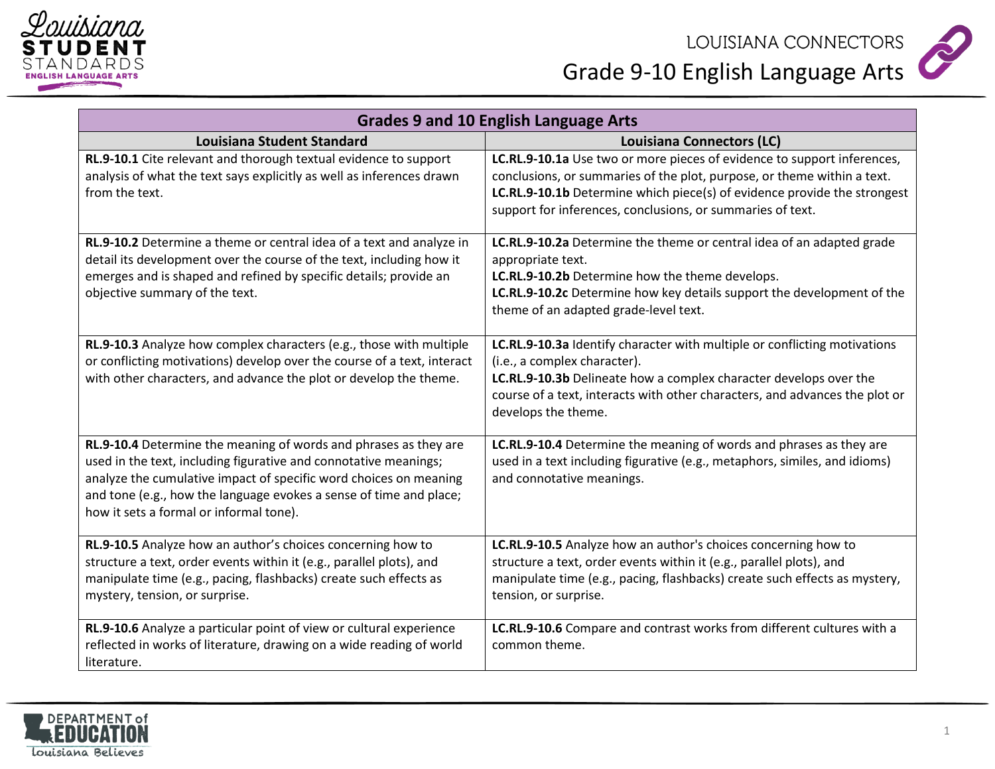



| <b>Grades 9 and 10 English Language Arts</b>                                                                                                                                                                                                                                                                               |                                                                                                                                                                                                                                                                                              |
|----------------------------------------------------------------------------------------------------------------------------------------------------------------------------------------------------------------------------------------------------------------------------------------------------------------------------|----------------------------------------------------------------------------------------------------------------------------------------------------------------------------------------------------------------------------------------------------------------------------------------------|
| <b>Louisiana Student Standard</b>                                                                                                                                                                                                                                                                                          | Louisiana Connectors (LC)                                                                                                                                                                                                                                                                    |
| RL.9-10.1 Cite relevant and thorough textual evidence to support<br>analysis of what the text says explicitly as well as inferences drawn<br>from the text.                                                                                                                                                                | LC.RL.9-10.1a Use two or more pieces of evidence to support inferences,<br>conclusions, or summaries of the plot, purpose, or theme within a text.<br>LC.RL.9-10.1b Determine which piece(s) of evidence provide the strongest<br>support for inferences, conclusions, or summaries of text. |
| RL.9-10.2 Determine a theme or central idea of a text and analyze in<br>detail its development over the course of the text, including how it<br>emerges and is shaped and refined by specific details; provide an<br>objective summary of the text.                                                                        | LC.RL.9-10.2a Determine the theme or central idea of an adapted grade<br>appropriate text.<br>LC.RL.9-10.2b Determine how the theme develops.<br>LC.RL.9-10.2c Determine how key details support the development of the<br>theme of an adapted grade-level text.                             |
| RL.9-10.3 Analyze how complex characters (e.g., those with multiple<br>or conflicting motivations) develop over the course of a text, interact<br>with other characters, and advance the plot or develop the theme.                                                                                                        | LC.RL.9-10.3a Identify character with multiple or conflicting motivations<br>(i.e., a complex character).<br>LC.RL.9-10.3b Delineate how a complex character develops over the<br>course of a text, interacts with other characters, and advances the plot or<br>develops the theme.         |
| RL.9-10.4 Determine the meaning of words and phrases as they are<br>used in the text, including figurative and connotative meanings;<br>analyze the cumulative impact of specific word choices on meaning<br>and tone (e.g., how the language evokes a sense of time and place;<br>how it sets a formal or informal tone). | LC.RL.9-10.4 Determine the meaning of words and phrases as they are<br>used in a text including figurative (e.g., metaphors, similes, and idioms)<br>and connotative meanings.                                                                                                               |
| RL.9-10.5 Analyze how an author's choices concerning how to<br>structure a text, order events within it (e.g., parallel plots), and<br>manipulate time (e.g., pacing, flashbacks) create such effects as<br>mystery, tension, or surprise.                                                                                 | LC.RL.9-10.5 Analyze how an author's choices concerning how to<br>structure a text, order events within it (e.g., parallel plots), and<br>manipulate time (e.g., pacing, flashbacks) create such effects as mystery,<br>tension, or surprise.                                                |
| RL.9-10.6 Analyze a particular point of view or cultural experience<br>reflected in works of literature, drawing on a wide reading of world<br>literature.                                                                                                                                                                 | LC.RL.9-10.6 Compare and contrast works from different cultures with a<br>common theme.                                                                                                                                                                                                      |

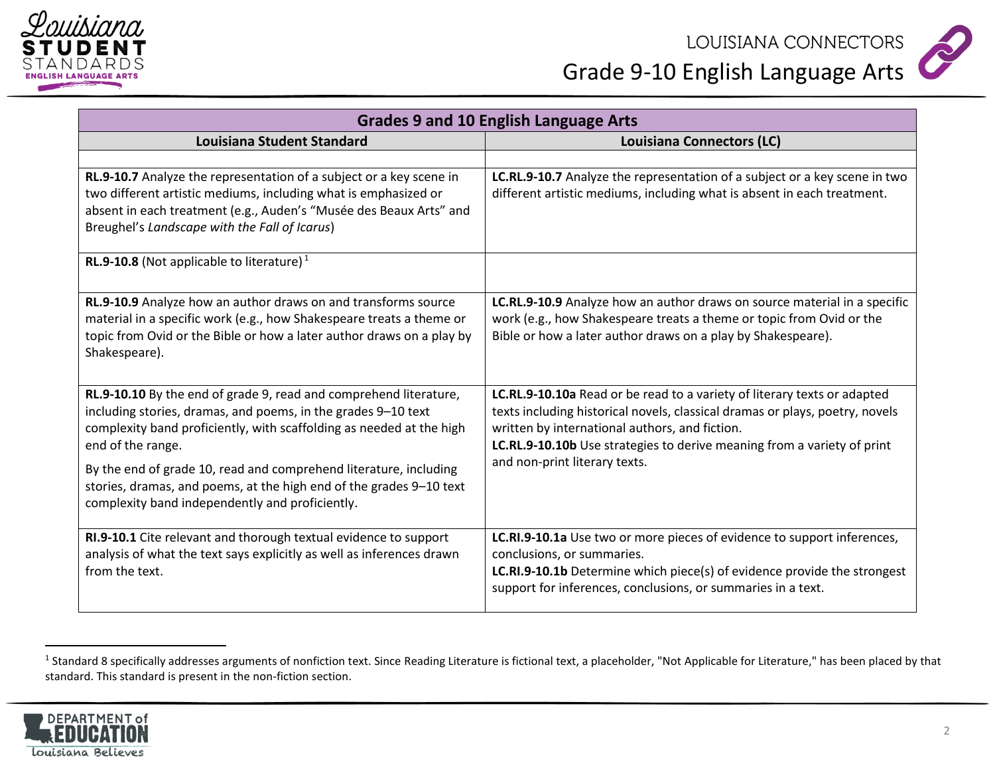



| <b>Grades 9 and 10 English Language Arts</b>                                                                                                                                                                                                                                                                                                                                                                                   |                                                                                                                                                                                                                                                                                                                        |
|--------------------------------------------------------------------------------------------------------------------------------------------------------------------------------------------------------------------------------------------------------------------------------------------------------------------------------------------------------------------------------------------------------------------------------|------------------------------------------------------------------------------------------------------------------------------------------------------------------------------------------------------------------------------------------------------------------------------------------------------------------------|
| <b>Louisiana Student Standard</b>                                                                                                                                                                                                                                                                                                                                                                                              | Louisiana Connectors (LC)                                                                                                                                                                                                                                                                                              |
|                                                                                                                                                                                                                                                                                                                                                                                                                                |                                                                                                                                                                                                                                                                                                                        |
| RL.9-10.7 Analyze the representation of a subject or a key scene in<br>two different artistic mediums, including what is emphasized or<br>absent in each treatment (e.g., Auden's "Musée des Beaux Arts" and<br>Breughel's Landscape with the Fall of Icarus)                                                                                                                                                                  | LC.RL.9-10.7 Analyze the representation of a subject or a key scene in two<br>different artistic mediums, including what is absent in each treatment.                                                                                                                                                                  |
| <b>RL.9-10.8</b> (Not applicable to literature) <sup>1</sup>                                                                                                                                                                                                                                                                                                                                                                   |                                                                                                                                                                                                                                                                                                                        |
| RL.9-10.9 Analyze how an author draws on and transforms source<br>material in a specific work (e.g., how Shakespeare treats a theme or<br>topic from Ovid or the Bible or how a later author draws on a play by<br>Shakespeare).                                                                                                                                                                                               | LC.RL.9-10.9 Analyze how an author draws on source material in a specific<br>work (e.g., how Shakespeare treats a theme or topic from Ovid or the<br>Bible or how a later author draws on a play by Shakespeare).                                                                                                      |
| RL.9-10.10 By the end of grade 9, read and comprehend literature,<br>including stories, dramas, and poems, in the grades 9-10 text<br>complexity band proficiently, with scaffolding as needed at the high<br>end of the range.<br>By the end of grade 10, read and comprehend literature, including<br>stories, dramas, and poems, at the high end of the grades 9-10 text<br>complexity band independently and proficiently. | LC.RL.9-10.10a Read or be read to a variety of literary texts or adapted<br>texts including historical novels, classical dramas or plays, poetry, novels<br>written by international authors, and fiction.<br>LC.RL.9-10.10b Use strategies to derive meaning from a variety of print<br>and non-print literary texts. |
| RI.9-10.1 Cite relevant and thorough textual evidence to support<br>analysis of what the text says explicitly as well as inferences drawn<br>from the text.                                                                                                                                                                                                                                                                    | LC.RI.9-10.1a Use two or more pieces of evidence to support inferences,<br>conclusions, or summaries.<br><b>LC.RI.9-10.1b</b> Determine which piece(s) of evidence provide the strongest<br>support for inferences, conclusions, or summaries in a text.                                                               |

<sup>&</sup>lt;sup>1</sup> Standard 8 specifically addresses arguments of nonfiction text. Since Reading Literature is fictional text, a placeholder, "Not Applicable for Literature," has been placed by that standard. This standard is present in the non-fiction section.



 $\overline{a}$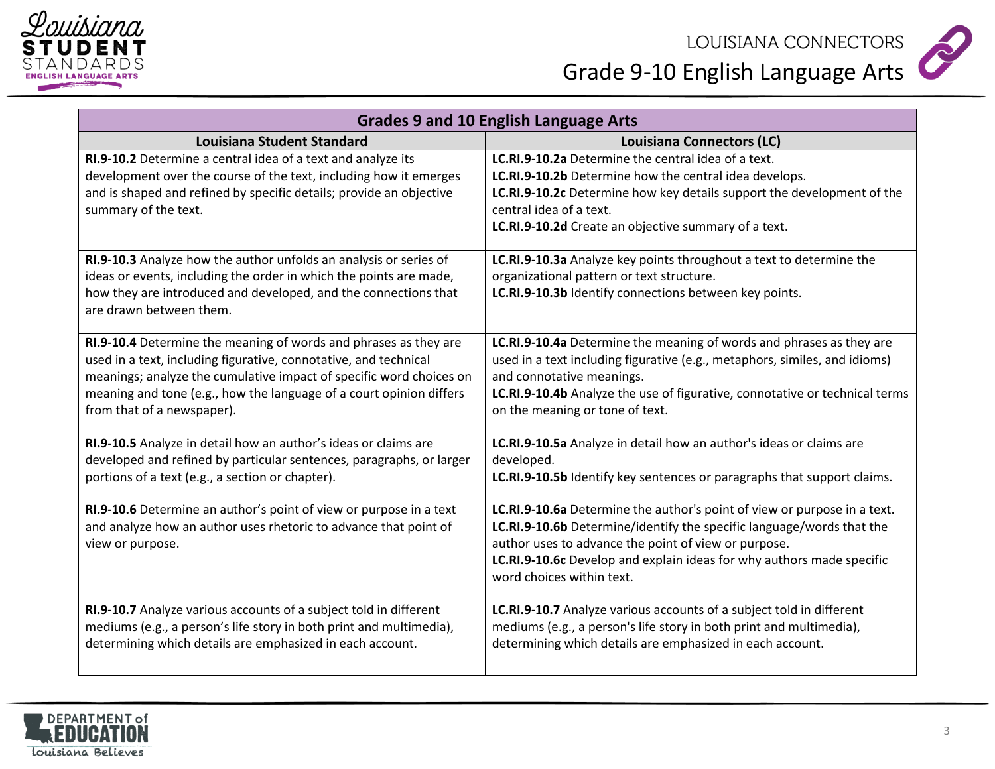



| <b>Grades 9 and 10 English Language Arts</b>                                                                                                                                                                                                                                                                     |                                                                                                                                                                                                                                                                                                                 |
|------------------------------------------------------------------------------------------------------------------------------------------------------------------------------------------------------------------------------------------------------------------------------------------------------------------|-----------------------------------------------------------------------------------------------------------------------------------------------------------------------------------------------------------------------------------------------------------------------------------------------------------------|
| <b>Louisiana Student Standard</b>                                                                                                                                                                                                                                                                                | Louisiana Connectors (LC)                                                                                                                                                                                                                                                                                       |
| RI.9-10.2 Determine a central idea of a text and analyze its<br>development over the course of the text, including how it emerges<br>and is shaped and refined by specific details; provide an objective<br>summary of the text.                                                                                 | LC.RI.9-10.2a Determine the central idea of a text.<br>LC.RI.9-10.2b Determine how the central idea develops.<br>LC.RI.9-10.2c Determine how key details support the development of the<br>central idea of a text.<br>LC.RI.9-10.2d Create an objective summary of a text.                                      |
| RI.9-10.3 Analyze how the author unfolds an analysis or series of<br>ideas or events, including the order in which the points are made,<br>how they are introduced and developed, and the connections that<br>are drawn between them.                                                                            | LC.RI.9-10.3a Analyze key points throughout a text to determine the<br>organizational pattern or text structure.<br>LC.RI.9-10.3b Identify connections between key points.                                                                                                                                      |
| RI.9-10.4 Determine the meaning of words and phrases as they are<br>used in a text, including figurative, connotative, and technical<br>meanings; analyze the cumulative impact of specific word choices on<br>meaning and tone (e.g., how the language of a court opinion differs<br>from that of a newspaper). | LC.RI.9-10.4a Determine the meaning of words and phrases as they are<br>used in a text including figurative (e.g., metaphors, similes, and idioms)<br>and connotative meanings.<br>LC.RI.9-10.4b Analyze the use of figurative, connotative or technical terms<br>on the meaning or tone of text.               |
| RI.9-10.5 Analyze in detail how an author's ideas or claims are<br>developed and refined by particular sentences, paragraphs, or larger<br>portions of a text (e.g., a section or chapter).                                                                                                                      | LC.RI.9-10.5a Analyze in detail how an author's ideas or claims are<br>developed.<br>LC.RI.9-10.5b Identify key sentences or paragraphs that support claims.                                                                                                                                                    |
| RI.9-10.6 Determine an author's point of view or purpose in a text<br>and analyze how an author uses rhetoric to advance that point of<br>view or purpose.                                                                                                                                                       | LC.RI.9-10.6a Determine the author's point of view or purpose in a text.<br>LC.RI.9-10.6b Determine/identify the specific language/words that the<br>author uses to advance the point of view or purpose.<br>LC.RI.9-10.6c Develop and explain ideas for why authors made specific<br>word choices within text. |
| RI.9-10.7 Analyze various accounts of a subject told in different<br>mediums (e.g., a person's life story in both print and multimedia),<br>determining which details are emphasized in each account.                                                                                                            | LC.RI.9-10.7 Analyze various accounts of a subject told in different<br>mediums (e.g., a person's life story in both print and multimedia),<br>determining which details are emphasized in each account.                                                                                                        |

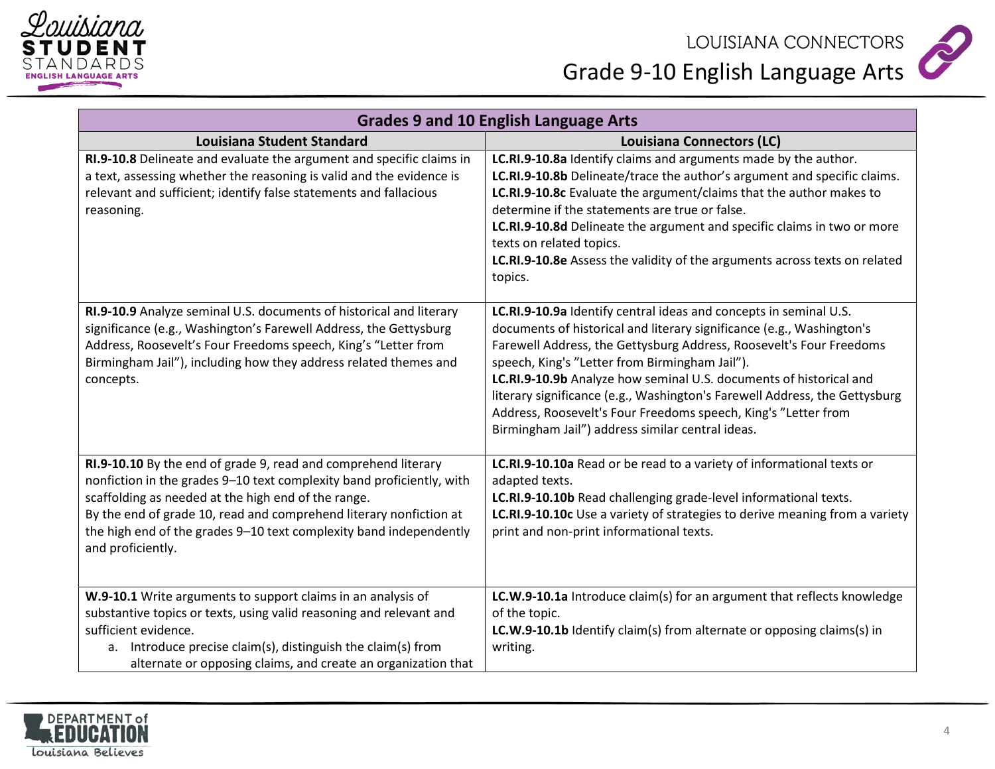



| <b>Grades 9 and 10 English Language Arts</b>                                                                                                                                                                                                                                                                                                                    |                                                                                                                                                                                                                                                                                                                                                                                                                                                                                                                                               |
|-----------------------------------------------------------------------------------------------------------------------------------------------------------------------------------------------------------------------------------------------------------------------------------------------------------------------------------------------------------------|-----------------------------------------------------------------------------------------------------------------------------------------------------------------------------------------------------------------------------------------------------------------------------------------------------------------------------------------------------------------------------------------------------------------------------------------------------------------------------------------------------------------------------------------------|
| <b>Louisiana Student Standard</b>                                                                                                                                                                                                                                                                                                                               | <b>Louisiana Connectors (LC)</b>                                                                                                                                                                                                                                                                                                                                                                                                                                                                                                              |
| RI.9-10.8 Delineate and evaluate the argument and specific claims in<br>a text, assessing whether the reasoning is valid and the evidence is<br>relevant and sufficient; identify false statements and fallacious<br>reasoning.                                                                                                                                 | LC.RI.9-10.8a Identify claims and arguments made by the author.<br>LC.RI.9-10.8b Delineate/trace the author's argument and specific claims.<br>LC.RI.9-10.8c Evaluate the argument/claims that the author makes to<br>determine if the statements are true or false.<br>LC.RI.9-10.8d Delineate the argument and specific claims in two or more<br>texts on related topics.<br>LC.RI.9-10.8e Assess the validity of the arguments across texts on related<br>topics.                                                                          |
| RI.9-10.9 Analyze seminal U.S. documents of historical and literary<br>significance (e.g., Washington's Farewell Address, the Gettysburg<br>Address, Roosevelt's Four Freedoms speech, King's "Letter from<br>Birmingham Jail"), including how they address related themes and<br>concepts.                                                                     | LC.RI.9-10.9a Identify central ideas and concepts in seminal U.S.<br>documents of historical and literary significance (e.g., Washington's<br>Farewell Address, the Gettysburg Address, Roosevelt's Four Freedoms<br>speech, King's "Letter from Birmingham Jail").<br>LC.RI.9-10.9b Analyze how seminal U.S. documents of historical and<br>literary significance (e.g., Washington's Farewell Address, the Gettysburg<br>Address, Roosevelt's Four Freedoms speech, King's "Letter from<br>Birmingham Jail") address similar central ideas. |
| RI.9-10.10 By the end of grade 9, read and comprehend literary<br>nonfiction in the grades 9-10 text complexity band proficiently, with<br>scaffolding as needed at the high end of the range.<br>By the end of grade 10, read and comprehend literary nonfiction at<br>the high end of the grades 9-10 text complexity band independently<br>and proficiently. | LC.RI.9-10.10a Read or be read to a variety of informational texts or<br>adapted texts.<br>LC.RI.9-10.10b Read challenging grade-level informational texts.<br>LC.RI.9-10.10c Use a variety of strategies to derive meaning from a variety<br>print and non-print informational texts.                                                                                                                                                                                                                                                        |
| W.9-10.1 Write arguments to support claims in an analysis of<br>substantive topics or texts, using valid reasoning and relevant and<br>sufficient evidence.<br>a. Introduce precise claim(s), distinguish the claim(s) from<br>alternate or opposing claims, and create an organization that                                                                    | LC.W.9-10.1a Introduce claim(s) for an argument that reflects knowledge<br>of the topic.<br>LC.W.9-10.1b Identify claim(s) from alternate or opposing claims(s) in<br>writing.                                                                                                                                                                                                                                                                                                                                                                |

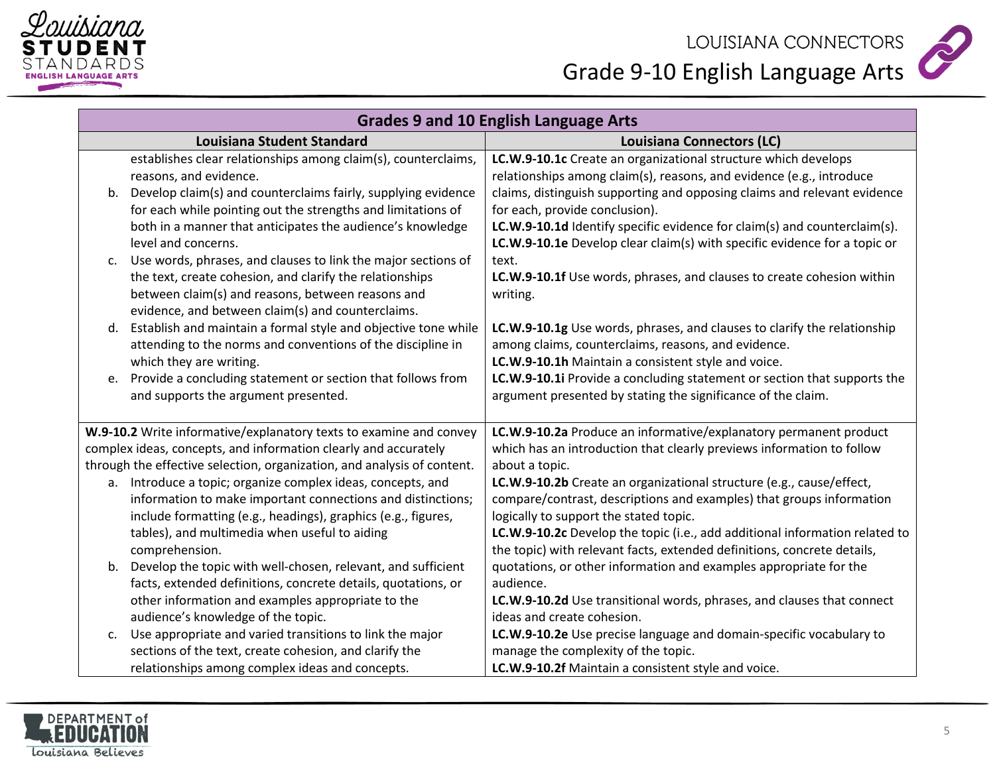



|    | <b>Grades 9 and 10 English Language Arts</b>                                                                                                                                                                                        |                                                                                                                                                                                                                    |  |
|----|-------------------------------------------------------------------------------------------------------------------------------------------------------------------------------------------------------------------------------------|--------------------------------------------------------------------------------------------------------------------------------------------------------------------------------------------------------------------|--|
|    | <b>Louisiana Student Standard</b>                                                                                                                                                                                                   | Louisiana Connectors (LC)                                                                                                                                                                                          |  |
| b. | establishes clear relationships among claim(s), counterclaims,<br>reasons, and evidence.<br>Develop claim(s) and counterclaims fairly, supplying evidence                                                                           | LC.W.9-10.1c Create an organizational structure which develops<br>relationships among claim(s), reasons, and evidence (e.g., introduce<br>claims, distinguish supporting and opposing claims and relevant evidence |  |
|    | for each while pointing out the strengths and limitations of<br>both in a manner that anticipates the audience's knowledge<br>level and concerns.                                                                                   | for each, provide conclusion).<br>LC.W.9-10.1d Identify specific evidence for claim(s) and counterclaim(s).<br><b>LC.W.9-10.1e</b> Develop clear claim(s) with specific evidence for a topic or                    |  |
| c. | Use words, phrases, and clauses to link the major sections of<br>the text, create cohesion, and clarify the relationships<br>between claim(s) and reasons, between reasons and<br>evidence, and between claim(s) and counterclaims. | text.<br>LC.W.9-10.1f Use words, phrases, and clauses to create cohesion within<br>writing.                                                                                                                        |  |
| d. | Establish and maintain a formal style and objective tone while<br>attending to the norms and conventions of the discipline in<br>which they are writing.                                                                            | LC.W.9-10.1g Use words, phrases, and clauses to clarify the relationship<br>among claims, counterclaims, reasons, and evidence.<br>LC.W.9-10.1h Maintain a consistent style and voice.                             |  |
| e. | Provide a concluding statement or section that follows from<br>and supports the argument presented.                                                                                                                                 | LC.W.9-10.1i Provide a concluding statement or section that supports the<br>argument presented by stating the significance of the claim.                                                                           |  |
|    | W.9-10.2 Write informative/explanatory texts to examine and convey                                                                                                                                                                  | LC.W.9-10.2a Produce an informative/explanatory permanent product                                                                                                                                                  |  |
|    | complex ideas, concepts, and information clearly and accurately                                                                                                                                                                     | which has an introduction that clearly previews information to follow                                                                                                                                              |  |
|    | through the effective selection, organization, and analysis of content.                                                                                                                                                             | about a topic.                                                                                                                                                                                                     |  |
|    | a. Introduce a topic; organize complex ideas, concepts, and<br>information to make important connections and distinctions;<br>include formatting (e.g., headings), graphics (e.g., figures,                                         | LC.W.9-10.2b Create an organizational structure (e.g., cause/effect,<br>compare/contrast, descriptions and examples) that groups information<br>logically to support the stated topic.                             |  |
|    | tables), and multimedia when useful to aiding<br>comprehension.                                                                                                                                                                     | LC.W.9-10.2c Develop the topic (i.e., add additional information related to<br>the topic) with relevant facts, extended definitions, concrete details,                                                             |  |
| b. | Develop the topic with well-chosen, relevant, and sufficient<br>facts, extended definitions, concrete details, quotations, or                                                                                                       | quotations, or other information and examples appropriate for the<br>audience.                                                                                                                                     |  |
|    | other information and examples appropriate to the<br>audience's knowledge of the topic.                                                                                                                                             | LC.W.9-10.2d Use transitional words, phrases, and clauses that connect<br>ideas and create cohesion.                                                                                                               |  |
| c. | Use appropriate and varied transitions to link the major                                                                                                                                                                            | LC.W.9-10.2e Use precise language and domain-specific vocabulary to                                                                                                                                                |  |
|    | sections of the text, create cohesion, and clarify the                                                                                                                                                                              | manage the complexity of the topic.                                                                                                                                                                                |  |
|    | relationships among complex ideas and concepts.                                                                                                                                                                                     | LC.W.9-10.2f Maintain a consistent style and voice.                                                                                                                                                                |  |

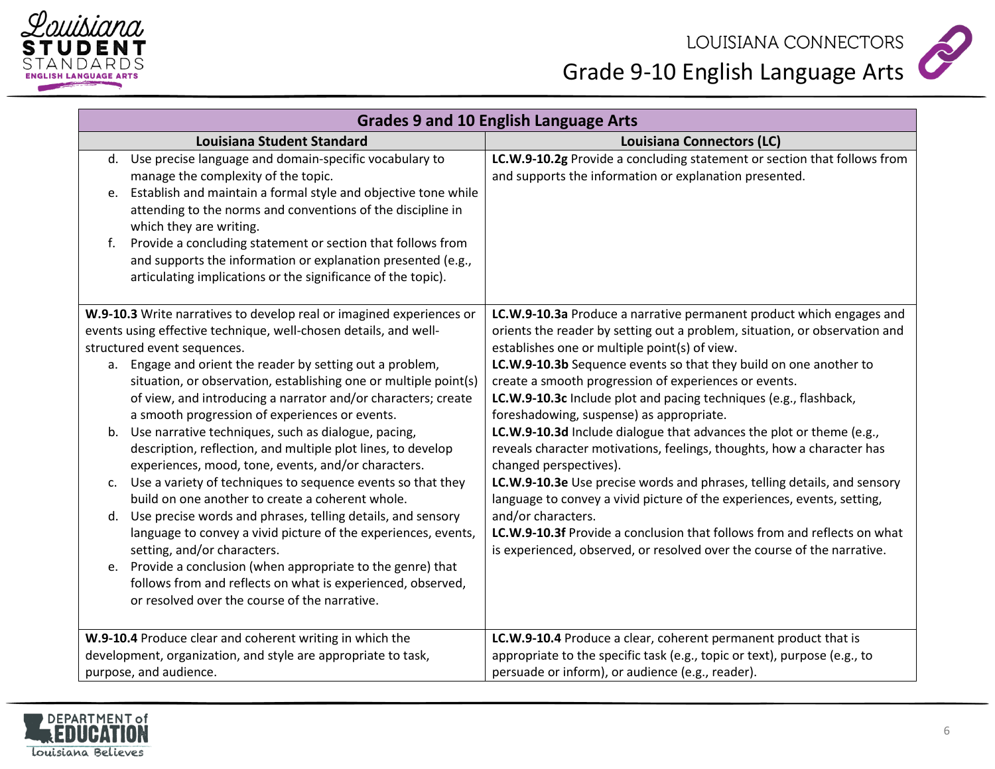



| <b>Grades 9 and 10 English Language Arts</b>                                                                                                                                                                                                                       |                                                                                                                                                                                                                                             |  |
|--------------------------------------------------------------------------------------------------------------------------------------------------------------------------------------------------------------------------------------------------------------------|---------------------------------------------------------------------------------------------------------------------------------------------------------------------------------------------------------------------------------------------|--|
| <b>Louisiana Student Standard</b>                                                                                                                                                                                                                                  | <b>Louisiana Connectors (LC)</b>                                                                                                                                                                                                            |  |
| d. Use precise language and domain-specific vocabulary to<br>manage the complexity of the topic.<br>Establish and maintain a formal style and objective tone while<br>e.<br>attending to the norms and conventions of the discipline in<br>which they are writing. | LC.W.9-10.2g Provide a concluding statement or section that follows from<br>and supports the information or explanation presented.                                                                                                          |  |
| Provide a concluding statement or section that follows from<br>f.<br>and supports the information or explanation presented (e.g.,<br>articulating implications or the significance of the topic).                                                                  |                                                                                                                                                                                                                                             |  |
| W.9-10.3 Write narratives to develop real or imagined experiences or<br>events using effective technique, well-chosen details, and well-<br>structured event sequences.                                                                                            | LC.W.9-10.3a Produce a narrative permanent product which engages and<br>orients the reader by setting out a problem, situation, or observation and<br>establishes one or multiple point(s) of view.                                         |  |
| a. Engage and orient the reader by setting out a problem,<br>situation, or observation, establishing one or multiple point(s)<br>of view, and introducing a narrator and/or characters; create<br>a smooth progression of experiences or events.                   | LC.W.9-10.3b Sequence events so that they build on one another to<br>create a smooth progression of experiences or events.<br>LC.W.9-10.3c Include plot and pacing techniques (e.g., flashback,<br>foreshadowing, suspense) as appropriate. |  |
| b. Use narrative techniques, such as dialogue, pacing,<br>description, reflection, and multiple plot lines, to develop<br>experiences, mood, tone, events, and/or characters.                                                                                      | LC.W.9-10.3d Include dialogue that advances the plot or theme (e.g.,<br>reveals character motivations, feelings, thoughts, how a character has<br>changed perspectives).                                                                    |  |
| Use a variety of techniques to sequence events so that they<br>c.<br>build on one another to create a coherent whole.                                                                                                                                              | LC.W.9-10.3e Use precise words and phrases, telling details, and sensory<br>language to convey a vivid picture of the experiences, events, setting,                                                                                         |  |
| d. Use precise words and phrases, telling details, and sensory<br>language to convey a vivid picture of the experiences, events,<br>setting, and/or characters.                                                                                                    | and/or characters.<br>LC.W.9-10.3f Provide a conclusion that follows from and reflects on what<br>is experienced, observed, or resolved over the course of the narrative.                                                                   |  |
| Provide a conclusion (when appropriate to the genre) that<br>e.<br>follows from and reflects on what is experienced, observed,<br>or resolved over the course of the narrative.                                                                                    |                                                                                                                                                                                                                                             |  |
| W.9-10.4 Produce clear and coherent writing in which the<br>development, organization, and style are appropriate to task,<br>purpose, and audience.                                                                                                                | LC.W.9-10.4 Produce a clear, coherent permanent product that is<br>appropriate to the specific task (e.g., topic or text), purpose (e.g., to<br>persuade or inform), or audience (e.g., reader).                                            |  |

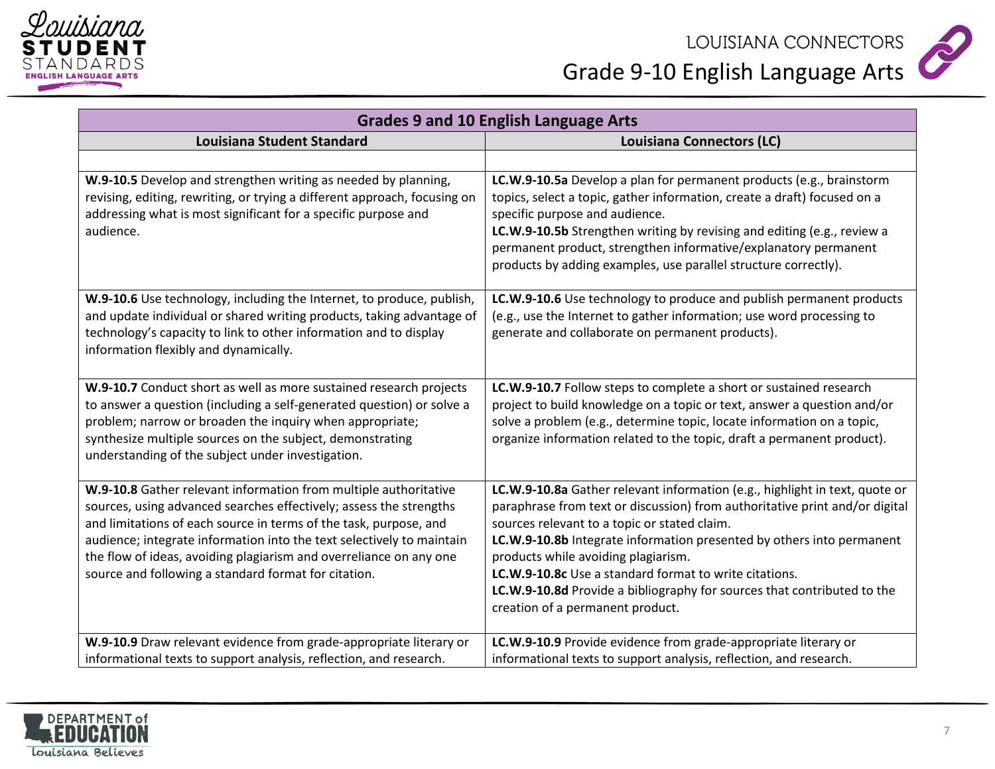



| <b>Grades 9 and 10 English Language Arts</b>                                                                                                                                                                                                                                                                                                                                                                       |                                                                                                                                                                                                                                                                                                                                                                                                                                                                                                     |
|--------------------------------------------------------------------------------------------------------------------------------------------------------------------------------------------------------------------------------------------------------------------------------------------------------------------------------------------------------------------------------------------------------------------|-----------------------------------------------------------------------------------------------------------------------------------------------------------------------------------------------------------------------------------------------------------------------------------------------------------------------------------------------------------------------------------------------------------------------------------------------------------------------------------------------------|
| <b>Louisiana Student Standard</b>                                                                                                                                                                                                                                                                                                                                                                                  | <b>Louisiana Connectors (LC)</b>                                                                                                                                                                                                                                                                                                                                                                                                                                                                    |
|                                                                                                                                                                                                                                                                                                                                                                                                                    |                                                                                                                                                                                                                                                                                                                                                                                                                                                                                                     |
| W.9-10.5 Develop and strengthen writing as needed by planning,<br>revising, editing, rewriting, or trying a different approach, focusing on<br>addressing what is most significant for a specific purpose and<br>audience.                                                                                                                                                                                         | LC.W.9-10.5a Develop a plan for permanent products (e.g., brainstorm<br>topics, select a topic, gather information, create a draft) focused on a<br>specific purpose and audience.<br>LC.W.9-10.5b Strengthen writing by revising and editing (e.g., review a<br>permanent product, strengthen informative/explanatory permanent<br>products by adding examples, use parallel structure correctly).                                                                                                 |
| W.9-10.6 Use technology, including the Internet, to produce, publish,<br>and update individual or shared writing products, taking advantage of<br>technology's capacity to link to other information and to display<br>information flexibly and dynamically.                                                                                                                                                       | LC.W.9-10.6 Use technology to produce and publish permanent products<br>(e.g., use the Internet to gather information; use word processing to<br>generate and collaborate on permanent products).                                                                                                                                                                                                                                                                                                   |
| W.9-10.7 Conduct short as well as more sustained research projects<br>to answer a question (including a self-generated question) or solve a<br>problem; narrow or broaden the inquiry when appropriate;<br>synthesize multiple sources on the subject, demonstrating<br>understanding of the subject under investigation.                                                                                          | LC.W.9-10.7 Follow steps to complete a short or sustained research<br>project to build knowledge on a topic or text, answer a question and/or<br>solve a problem (e.g., determine topic, locate information on a topic,<br>organize information related to the topic, draft a permanent product).                                                                                                                                                                                                   |
| W.9-10.8 Gather relevant information from multiple authoritative<br>sources, using advanced searches effectively; assess the strengths<br>and limitations of each source in terms of the task, purpose, and<br>audience; integrate information into the text selectively to maintain<br>the flow of ideas, avoiding plagiarism and overreliance on any one<br>source and following a standard format for citation. | LC.W.9-10.8a Gather relevant information (e.g., highlight in text, quote or<br>paraphrase from text or discussion) from authoritative print and/or digital<br>sources relevant to a topic or stated claim.<br>LC.W.9-10.8b Integrate information presented by others into permanent<br>products while avoiding plagiarism.<br>LC.W.9-10.8c Use a standard format to write citations.<br>LC.W.9-10.8d Provide a bibliography for sources that contributed to the<br>creation of a permanent product. |
| W.9-10.9 Draw relevant evidence from grade-appropriate literary or<br>informational texts to support analysis, reflection, and research.                                                                                                                                                                                                                                                                           | LC.W.9-10.9 Provide evidence from grade-appropriate literary or<br>informational texts to support analysis, reflection, and research.                                                                                                                                                                                                                                                                                                                                                               |

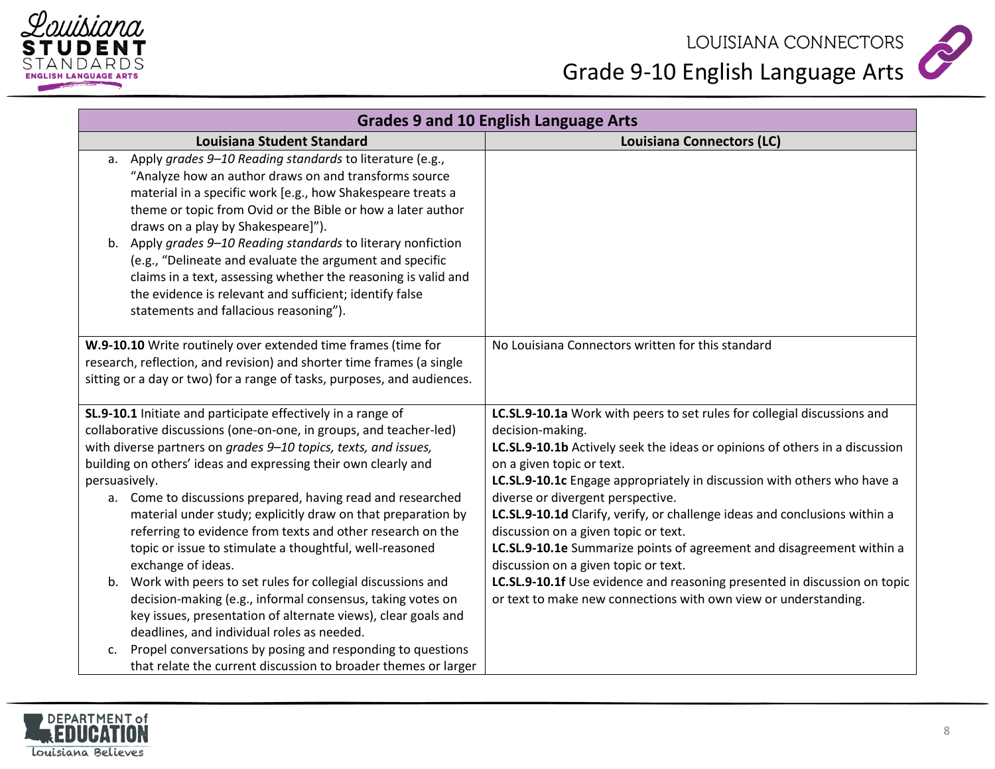



| <b>Grades 9 and 10 English Language Arts</b>                                                                                                                                                                                                                                                                                                                                                                                                                                                                                                                                                 |                                                                                                                                                                                                                                                                          |  |
|----------------------------------------------------------------------------------------------------------------------------------------------------------------------------------------------------------------------------------------------------------------------------------------------------------------------------------------------------------------------------------------------------------------------------------------------------------------------------------------------------------------------------------------------------------------------------------------------|--------------------------------------------------------------------------------------------------------------------------------------------------------------------------------------------------------------------------------------------------------------------------|--|
| <b>Louisiana Student Standard</b>                                                                                                                                                                                                                                                                                                                                                                                                                                                                                                                                                            | <b>Louisiana Connectors (LC)</b>                                                                                                                                                                                                                                         |  |
| a. Apply grades 9-10 Reading standards to literature (e.g.,<br>"Analyze how an author draws on and transforms source<br>material in a specific work [e.g., how Shakespeare treats a<br>theme or topic from Ovid or the Bible or how a later author<br>draws on a play by Shakespeare]").<br>b. Apply grades 9-10 Reading standards to literary nonfiction<br>(e.g., "Delineate and evaluate the argument and specific<br>claims in a text, assessing whether the reasoning is valid and<br>the evidence is relevant and sufficient; identify false<br>statements and fallacious reasoning"). |                                                                                                                                                                                                                                                                          |  |
| W.9-10.10 Write routinely over extended time frames (time for<br>research, reflection, and revision) and shorter time frames (a single<br>sitting or a day or two) for a range of tasks, purposes, and audiences.                                                                                                                                                                                                                                                                                                                                                                            | No Louisiana Connectors written for this standard                                                                                                                                                                                                                        |  |
| SL.9-10.1 Initiate and participate effectively in a range of<br>collaborative discussions (one-on-one, in groups, and teacher-led)<br>with diverse partners on grades 9-10 topics, texts, and issues,                                                                                                                                                                                                                                                                                                                                                                                        | LC.SL.9-10.1a Work with peers to set rules for collegial discussions and<br>decision-making.<br>LC.SL.9-10.1b Actively seek the ideas or opinions of others in a discussion                                                                                              |  |
| building on others' ideas and expressing their own clearly and                                                                                                                                                                                                                                                                                                                                                                                                                                                                                                                               | on a given topic or text.                                                                                                                                                                                                                                                |  |
| persuasively.                                                                                                                                                                                                                                                                                                                                                                                                                                                                                                                                                                                | LC.SL.9-10.1c Engage appropriately in discussion with others who have a                                                                                                                                                                                                  |  |
| a. Come to discussions prepared, having read and researched<br>material under study; explicitly draw on that preparation by<br>referring to evidence from texts and other research on the<br>topic or issue to stimulate a thoughtful, well-reasoned<br>exchange of ideas.                                                                                                                                                                                                                                                                                                                   | diverse or divergent perspective.<br>LC.SL.9-10.1d Clarify, verify, or challenge ideas and conclusions within a<br>discussion on a given topic or text.<br>LC.SL.9-10.1e Summarize points of agreement and disagreement within a<br>discussion on a given topic or text. |  |
| b. Work with peers to set rules for collegial discussions and<br>decision-making (e.g., informal consensus, taking votes on<br>key issues, presentation of alternate views), clear goals and<br>deadlines, and individual roles as needed.                                                                                                                                                                                                                                                                                                                                                   | LC.SL.9-10.1f Use evidence and reasoning presented in discussion on topic<br>or text to make new connections with own view or understanding.                                                                                                                             |  |
| Propel conversations by posing and responding to questions<br>c.<br>that relate the current discussion to broader themes or larger                                                                                                                                                                                                                                                                                                                                                                                                                                                           |                                                                                                                                                                                                                                                                          |  |

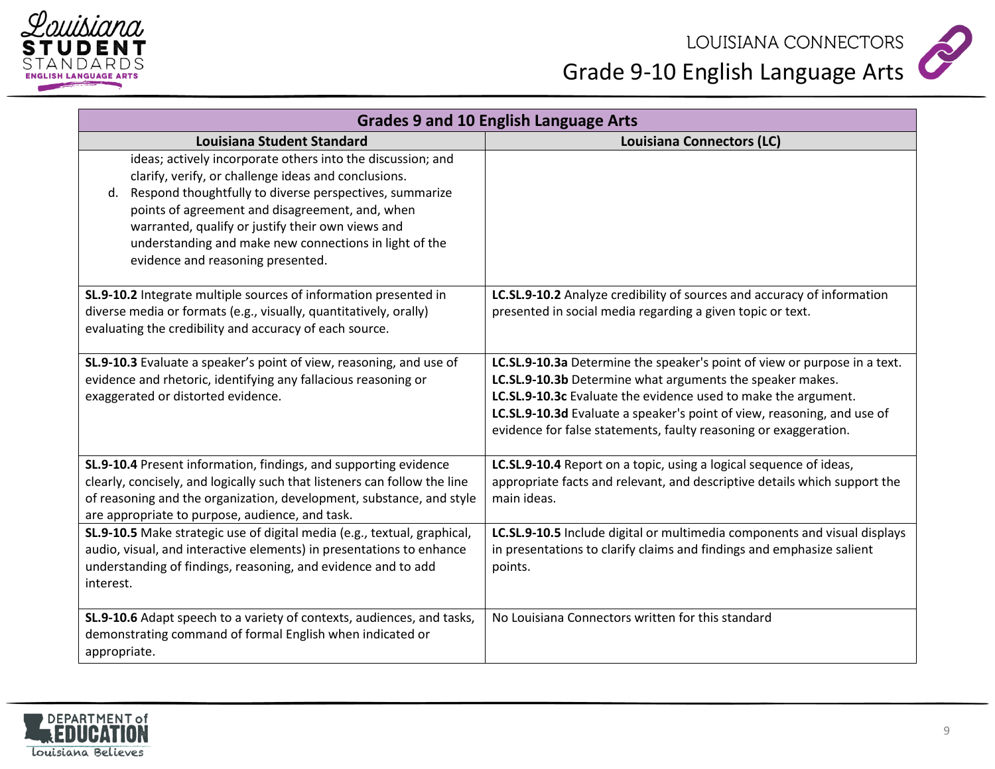



| <b>Grades 9 and 10 English Language Arts</b>                                                                                                                                                                                                                                                                                                                                             |                                                                                                                                                                                                                                                                                                                                                         |
|------------------------------------------------------------------------------------------------------------------------------------------------------------------------------------------------------------------------------------------------------------------------------------------------------------------------------------------------------------------------------------------|---------------------------------------------------------------------------------------------------------------------------------------------------------------------------------------------------------------------------------------------------------------------------------------------------------------------------------------------------------|
| Louisiana Student Standard                                                                                                                                                                                                                                                                                                                                                               | <b>Louisiana Connectors (LC)</b>                                                                                                                                                                                                                                                                                                                        |
| ideas; actively incorporate others into the discussion; and<br>clarify, verify, or challenge ideas and conclusions.<br>d. Respond thoughtfully to diverse perspectives, summarize<br>points of agreement and disagreement, and, when<br>warranted, qualify or justify their own views and<br>understanding and make new connections in light of the<br>evidence and reasoning presented. |                                                                                                                                                                                                                                                                                                                                                         |
| SL.9-10.2 Integrate multiple sources of information presented in<br>diverse media or formats (e.g., visually, quantitatively, orally)<br>evaluating the credibility and accuracy of each source.                                                                                                                                                                                         | LC.SL.9-10.2 Analyze credibility of sources and accuracy of information<br>presented in social media regarding a given topic or text.                                                                                                                                                                                                                   |
| SL.9-10.3 Evaluate a speaker's point of view, reasoning, and use of<br>evidence and rhetoric, identifying any fallacious reasoning or<br>exaggerated or distorted evidence.                                                                                                                                                                                                              | LC.SL.9-10.3a Determine the speaker's point of view or purpose in a text.<br>LC.SL.9-10.3b Determine what arguments the speaker makes.<br>LC.SL.9-10.3c Evaluate the evidence used to make the argument.<br>LC.SL.9-10.3d Evaluate a speaker's point of view, reasoning, and use of<br>evidence for false statements, faulty reasoning or exaggeration. |
| SL.9-10.4 Present information, findings, and supporting evidence<br>clearly, concisely, and logically such that listeners can follow the line<br>of reasoning and the organization, development, substance, and style<br>are appropriate to purpose, audience, and task.                                                                                                                 | LC.SL.9-10.4 Report on a topic, using a logical sequence of ideas,<br>appropriate facts and relevant, and descriptive details which support the<br>main ideas.                                                                                                                                                                                          |
| SL.9-10.5 Make strategic use of digital media (e.g., textual, graphical,<br>audio, visual, and interactive elements) in presentations to enhance<br>understanding of findings, reasoning, and evidence and to add<br>interest.                                                                                                                                                           | LC.SL.9-10.5 Include digital or multimedia components and visual displays<br>in presentations to clarify claims and findings and emphasize salient<br>points.                                                                                                                                                                                           |
| SL.9-10.6 Adapt speech to a variety of contexts, audiences, and tasks,<br>demonstrating command of formal English when indicated or<br>appropriate.                                                                                                                                                                                                                                      | No Louisiana Connectors written for this standard                                                                                                                                                                                                                                                                                                       |

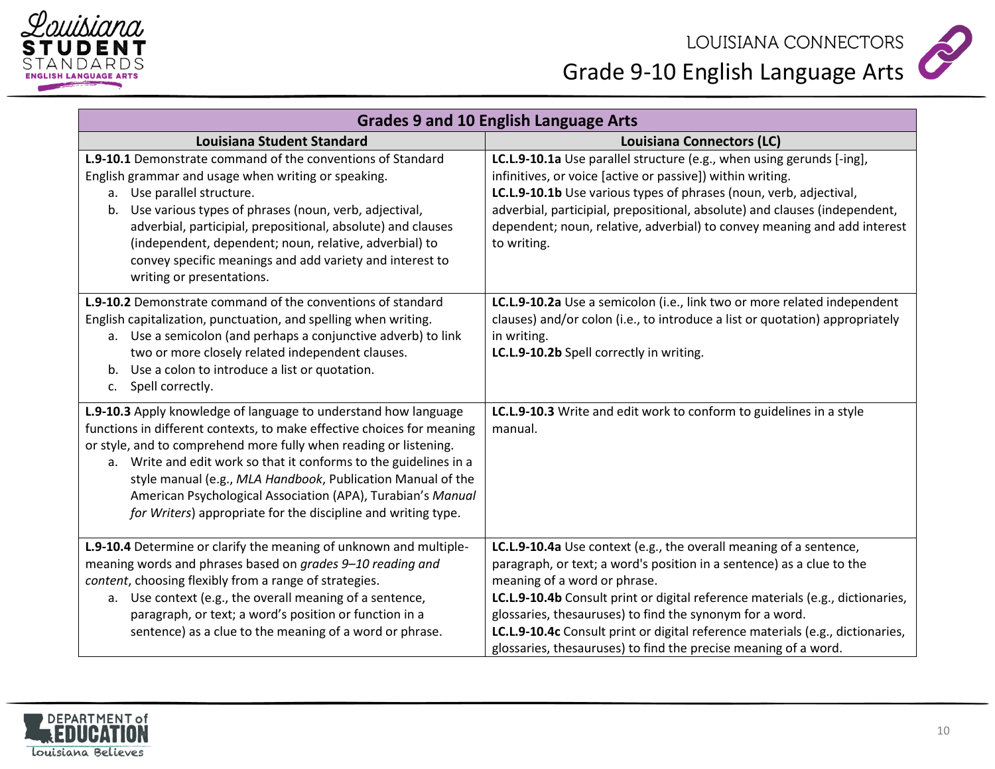



| <b>Grades 9 and 10 English Language Arts</b>                                                                                                                                                                                                                                                                                                                                                                                                                                       |                                                                                                                                                                                                                                                                                                                                                                                                                                                                                |
|------------------------------------------------------------------------------------------------------------------------------------------------------------------------------------------------------------------------------------------------------------------------------------------------------------------------------------------------------------------------------------------------------------------------------------------------------------------------------------|--------------------------------------------------------------------------------------------------------------------------------------------------------------------------------------------------------------------------------------------------------------------------------------------------------------------------------------------------------------------------------------------------------------------------------------------------------------------------------|
| <b>Louisiana Student Standard</b>                                                                                                                                                                                                                                                                                                                                                                                                                                                  | <b>Louisiana Connectors (LC)</b>                                                                                                                                                                                                                                                                                                                                                                                                                                               |
| <b>L.9-10.1</b> Demonstrate command of the conventions of Standard<br>English grammar and usage when writing or speaking.<br>Use parallel structure.<br>а.<br>b. Use various types of phrases (noun, verb, adjectival,<br>adverbial, participial, prepositional, absolute) and clauses<br>(independent, dependent; noun, relative, adverbial) to<br>convey specific meanings and add variety and interest to<br>writing or presentations.                                          | LC.L.9-10.1a Use parallel structure (e.g., when using gerunds [-ing],<br>infinitives, or voice [active or passive]) within writing.<br>LC.L.9-10.1b Use various types of phrases (noun, verb, adjectival,<br>adverbial, participial, prepositional, absolute) and clauses (independent,<br>dependent; noun, relative, adverbial) to convey meaning and add interest<br>to writing.                                                                                             |
| <b>L.9-10.2</b> Demonstrate command of the conventions of standard<br>English capitalization, punctuation, and spelling when writing.<br>a. Use a semicolon (and perhaps a conjunctive adverb) to link<br>two or more closely related independent clauses.<br>Use a colon to introduce a list or quotation.<br>b.<br>Spell correctly.<br>c.                                                                                                                                        | LC.L.9-10.2a Use a semicolon (i.e., link two or more related independent<br>clauses) and/or colon (i.e., to introduce a list or quotation) appropriately<br>in writing.<br>LC.L.9-10.2b Spell correctly in writing.                                                                                                                                                                                                                                                            |
| L.9-10.3 Apply knowledge of language to understand how language<br>functions in different contexts, to make effective choices for meaning<br>or style, and to comprehend more fully when reading or listening.<br>a. Write and edit work so that it conforms to the guidelines in a<br>style manual (e.g., MLA Handbook, Publication Manual of the<br>American Psychological Association (APA), Turabian's Manual<br>for Writers) appropriate for the discipline and writing type. | LC.L.9-10.3 Write and edit work to conform to guidelines in a style<br>manual.                                                                                                                                                                                                                                                                                                                                                                                                 |
| L.9-10.4 Determine or clarify the meaning of unknown and multiple-<br>meaning words and phrases based on grades 9-10 reading and<br>content, choosing flexibly from a range of strategies.<br>a. Use context (e.g., the overall meaning of a sentence,<br>paragraph, or text; a word's position or function in a<br>sentence) as a clue to the meaning of a word or phrase.                                                                                                        | LC.L.9-10.4a Use context (e.g., the overall meaning of a sentence,<br>paragraph, or text; a word's position in a sentence) as a clue to the<br>meaning of a word or phrase.<br>LC.L.9-10.4b Consult print or digital reference materials (e.g., dictionaries,<br>glossaries, thesauruses) to find the synonym for a word.<br>LC.L.9-10.4c Consult print or digital reference materials (e.g., dictionaries,<br>glossaries, thesauruses) to find the precise meaning of a word. |